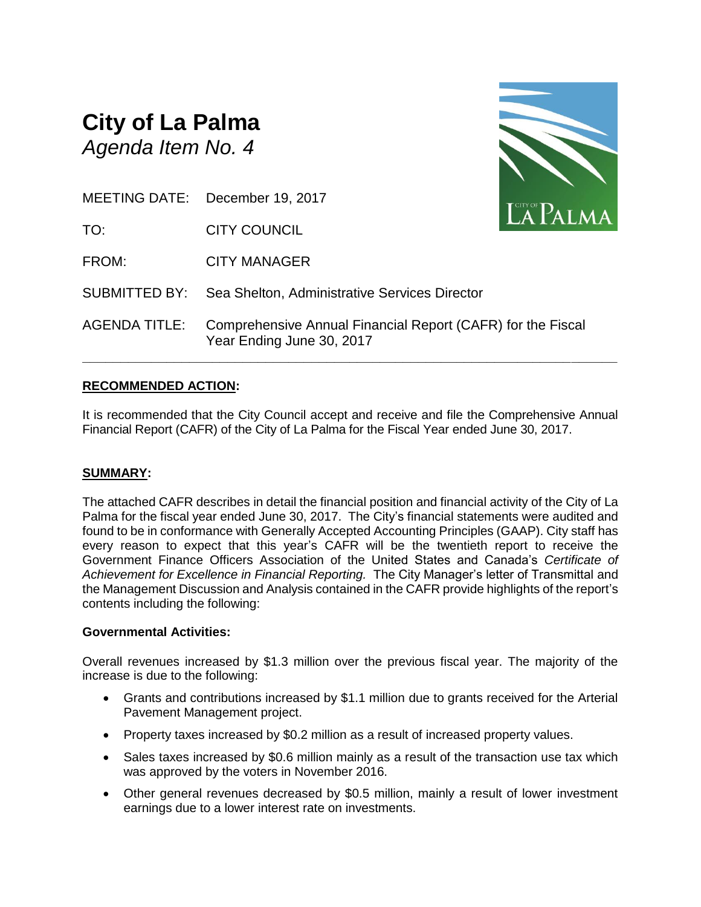# **City of La Palma** *Agenda Item No. 4*



|                      | MEETING DATE: December 19, 2017                                                          | LA PALMA |
|----------------------|------------------------------------------------------------------------------------------|----------|
| TO:                  | <b>CITY COUNCIL</b>                                                                      |          |
| FROM:                | <b>CITY MANAGER</b>                                                                      |          |
|                      | <b>SUBMITTED BY:</b> Sea Shelton, Administrative Services Director                       |          |
| <b>AGENDA TITLE:</b> | Comprehensive Annual Financial Report (CAFR) for the Fiscal<br>Year Ending June 30, 2017 |          |

# **RECOMMENDED ACTION:**

It is recommended that the City Council accept and receive and file the Comprehensive Annual Financial Report (CAFR) of the City of La Palma for the Fiscal Year ended June 30, 2017.

### **SUMMARY:**

The attached CAFR describes in detail the financial position and financial activity of the City of La Palma for the fiscal year ended June 30, 2017. The City's financial statements were audited and found to be in conformance with Generally Accepted Accounting Principles (GAAP). City staff has every reason to expect that this year's CAFR will be the twentieth report to receive the Government Finance Officers Association of the United States and Canada's *Certificate of Achievement for Excellence in Financial Reporting.* The City Manager's letter of Transmittal and the Management Discussion and Analysis contained in the CAFR provide highlights of the report's contents including the following:

#### **Governmental Activities:**

Overall revenues increased by \$1.3 million over the previous fiscal year. The majority of the increase is due to the following:

- Grants and contributions increased by \$1.1 million due to grants received for the Arterial Pavement Management project.
- Property taxes increased by \$0.2 million as a result of increased property values.
- Sales taxes increased by \$0.6 million mainly as a result of the transaction use tax which was approved by the voters in November 2016.
- Other general revenues decreased by \$0.5 million, mainly a result of lower investment earnings due to a lower interest rate on investments.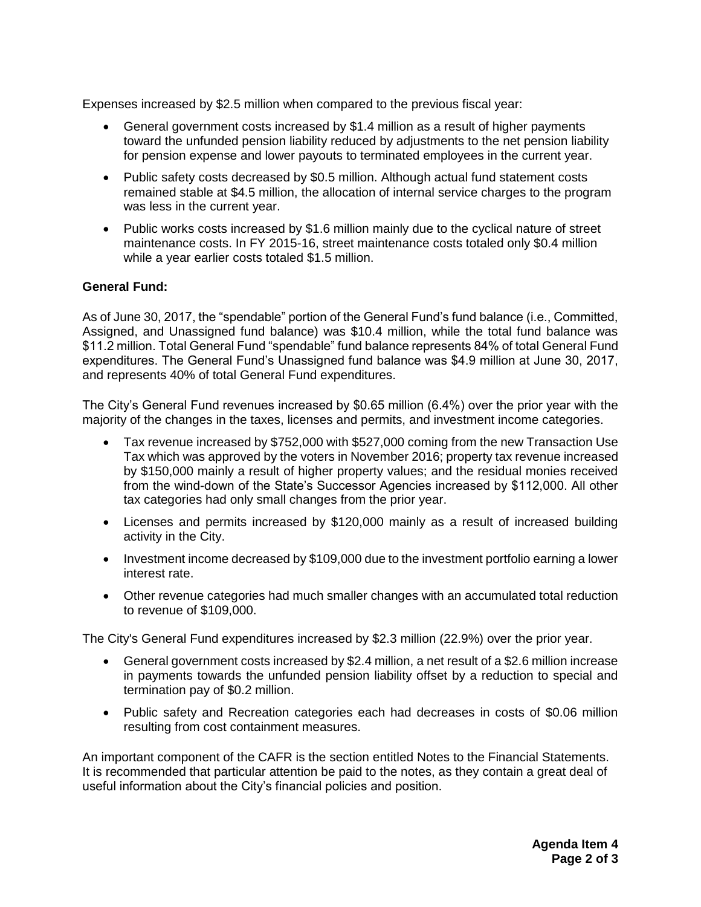Expenses increased by \$2.5 million when compared to the previous fiscal year:

- General government costs increased by \$1.4 million as a result of higher payments toward the unfunded pension liability reduced by adjustments to the net pension liability for pension expense and lower payouts to terminated employees in the current year.
- Public safety costs decreased by \$0.5 million. Although actual fund statement costs remained stable at \$4.5 million, the allocation of internal service charges to the program was less in the current year.
- Public works costs increased by \$1.6 million mainly due to the cyclical nature of street maintenance costs. In FY 2015-16, street maintenance costs totaled only \$0.4 million while a year earlier costs totaled \$1.5 million.

# **General Fund:**

As of June 30, 2017, the "spendable" portion of the General Fund's fund balance (i.e., Committed, Assigned, and Unassigned fund balance) was \$10.4 million, while the total fund balance was \$11.2 million. Total General Fund "spendable" fund balance represents 84% of total General Fund expenditures. The General Fund's Unassigned fund balance was \$4.9 million at June 30, 2017, and represents 40% of total General Fund expenditures.

The City's General Fund revenues increased by \$0.65 million (6.4%) over the prior year with the majority of the changes in the taxes, licenses and permits, and investment income categories.

- Tax revenue increased by \$752,000 with \$527,000 coming from the new Transaction Use Tax which was approved by the voters in November 2016; property tax revenue increased by \$150,000 mainly a result of higher property values; and the residual monies received from the wind-down of the State's Successor Agencies increased by \$112,000. All other tax categories had only small changes from the prior year.
- Licenses and permits increased by \$120,000 mainly as a result of increased building activity in the City.
- Investment income decreased by \$109,000 due to the investment portfolio earning a lower interest rate.
- Other revenue categories had much smaller changes with an accumulated total reduction to revenue of \$109,000.

The City's General Fund expenditures increased by \$2.3 million (22.9%) over the prior year.

- General government costs increased by \$2.4 million, a net result of a \$2.6 million increase in payments towards the unfunded pension liability offset by a reduction to special and termination pay of \$0.2 million.
- Public safety and Recreation categories each had decreases in costs of \$0.06 million resulting from cost containment measures.

An important component of the CAFR is the section entitled Notes to the Financial Statements. It is recommended that particular attention be paid to the notes, as they contain a great deal of useful information about the City's financial policies and position.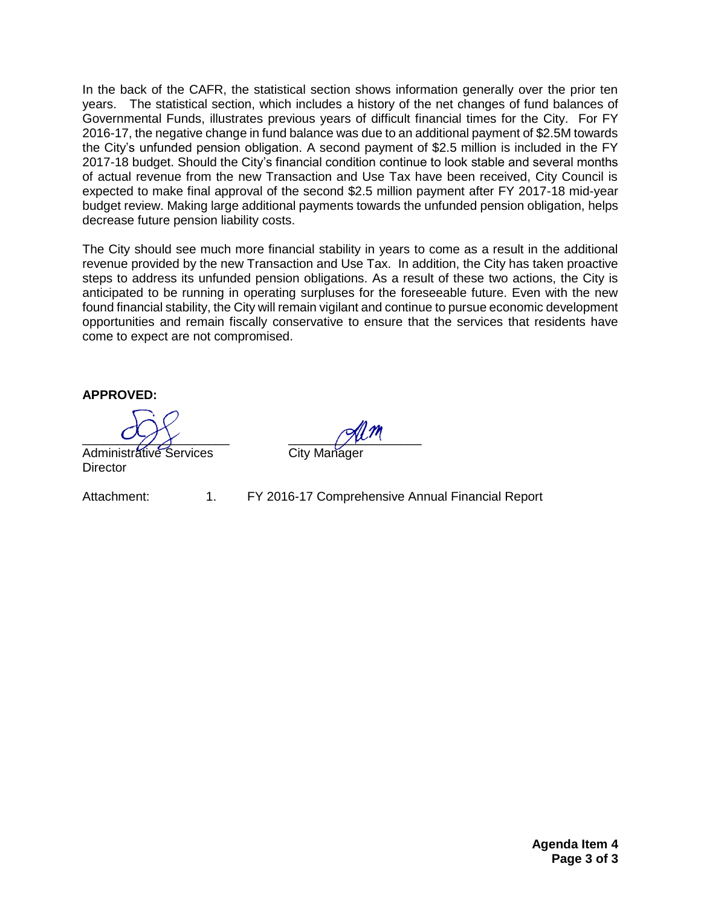In the back of the CAFR, the statistical section shows information generally over the prior ten years. The statistical section, which includes a history of the net changes of fund balances of Governmental Funds, illustrates previous years of difficult financial times for the City. For FY 2016-17, the negative change in fund balance was due to an additional payment of \$2.5M towards the City's unfunded pension obligation. A second payment of \$2.5 million is included in the FY 2017-18 budget. Should the City's financial condition continue to look stable and several months of actual revenue from the new Transaction and Use Tax have been received, City Council is expected to make final approval of the second \$2.5 million payment after FY 2017-18 mid-year budget review. Making large additional payments towards the unfunded pension obligation, helps decrease future pension liability costs.

The City should see much more financial stability in years to come as a result in the additional revenue provided by the new Transaction and Use Tax. In addition, the City has taken proactive steps to address its unfunded pension obligations. As a result of these two actions, the City is anticipated to be running in operating surpluses for the foreseeable future. Even with the new found financial stability, the City will remain vigilant and continue to pursue economic development opportunities and remain fiscally conservative to ensure that the services that residents have come to expect are not compromised.

**APPROVED:**

Administrative Services City Manager **Director** 

Attachment: 1. FY 2016-17 Comprehensive Annual Financial Report

\_\_\_\_\_\_\_\_\_\_\_\_\_\_\_\_\_\_\_\_\_ \_\_\_\_\_\_\_\_\_\_\_\_\_\_\_\_\_\_\_